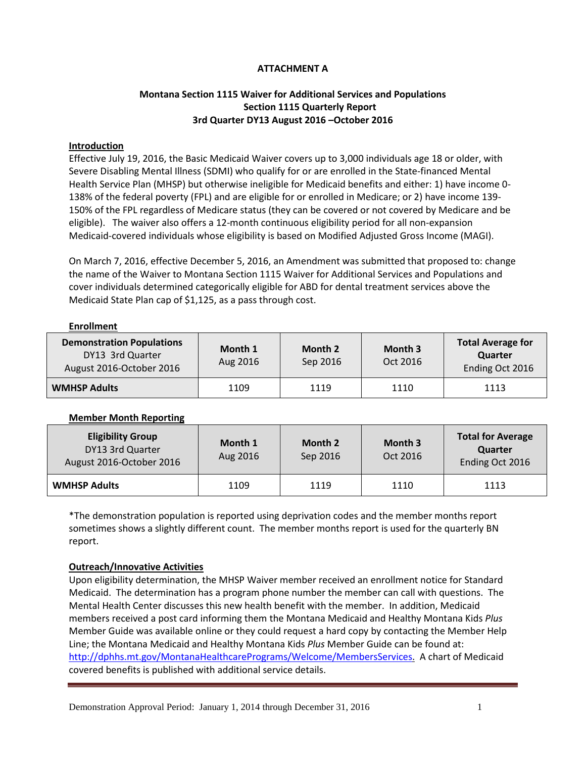# **ATTACHMENT A**

# **Montana Section 1115 Waiver for Additional Services and Populations Section 1115 Quarterly Report 3rd Quarter DY13 August 2016 –October 2016**

#### **Introduction**

Effective July 19, 2016, the Basic Medicaid Waiver covers up to 3,000 individuals age 18 or older, with Severe Disabling Mental Illness (SDMI) who qualify for or are enrolled in the State-financed Mental Health Service Plan (MHSP) but otherwise ineligible for Medicaid benefits and either: 1) have income 0- 138% of the federal poverty (FPL) and are eligible for or enrolled in Medicare; or 2) have income 139- 150% of the FPL regardless of Medicare status (they can be covered or not covered by Medicare and be eligible). The waiver also offers a 12-month continuous eligibility period for all non-expansion Medicaid-covered individuals whose eligibility is based on Modified Adjusted Gross Income (MAGI).

On March 7, 2016, effective December 5, 2016, an Amendment was submitted that proposed to: change the name of the Waiver to Montana Section 1115 Waiver for Additional Services and Populations and cover individuals determined categorically eligible for ABD for dental treatment services above the Medicaid State Plan cap of \$1,125, as a pass through cost.

#### **Enrollment**

| <b>Demonstration Populations</b><br>DY13 3rd Quarter<br>August 2016-October 2016 | Month 1<br>Aug 2016 | Month 2<br>Sep 2016 | Month 3<br>Oct 2016 | <b>Total Average for</b><br>Quarter<br>Ending Oct 2016 |
|----------------------------------------------------------------------------------|---------------------|---------------------|---------------------|--------------------------------------------------------|
| <b>WMHSP Adults</b>                                                              | 1109                | 1119                | 1110                | 1113                                                   |

# **Member Month Reporting**

| <b>Eligibility Group</b><br>DY13 3rd Quarter<br>August 2016-October 2016 | Month 1<br>Aug 2016 | Month 2<br>Sep 2016 | Month 3<br>Oct 2016 | <b>Total for Average</b><br><b>Quarter</b><br>Ending Oct 2016 |
|--------------------------------------------------------------------------|---------------------|---------------------|---------------------|---------------------------------------------------------------|
| <b>WMHSP Adults</b>                                                      | 1109                | 1119                | 1110                | 1113                                                          |

\*The demonstration population is reported using deprivation codes and the member months report sometimes shows a slightly different count. The member months report is used for the quarterly BN report.

# **Outreach/Innovative Activities**

Upon eligibility determination, the MHSP Waiver member received an enrollment notice for Standard Medicaid. The determination has a program phone number the member can call with questions. The Mental Health Center discusses this new health benefit with the member. In addition, Medicaid members received a post card informing them the Montana Medicaid and Healthy Montana Kids *Plus* Member Guide was available online or they could request a hard copy by contacting the Member Help Line; the Montana Medicaid and Healthy Montana Kids *Plus* Member Guide can be found at: [http://dphhs.mt.gov/MontanaHealthcarePrograms/Welcome/MembersServices.](http://dphhs.mt.gov/MontanaHealthcarePrograms/Welcome/MembersServices) A chart of Medicaid covered benefits is published with additional service details.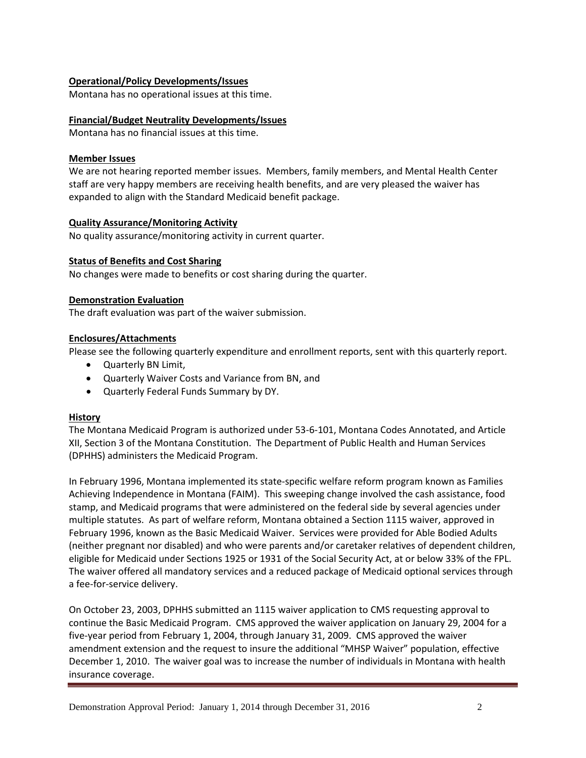# **Operational/Policy Developments/Issues**

Montana has no operational issues at this time.

#### **Financial/Budget Neutrality Developments/Issues**

Montana has no financial issues at this time.

#### **Member Issues**

We are not hearing reported member issues. Members, family members, and Mental Health Center staff are very happy members are receiving health benefits, and are very pleased the waiver has expanded to align with the Standard Medicaid benefit package.

#### **Quality Assurance/Monitoring Activity**

No quality assurance/monitoring activity in current quarter.

#### **Status of Benefits and Cost Sharing**

No changes were made to benefits or cost sharing during the quarter.

#### **Demonstration Evaluation**

The draft evaluation was part of the waiver submission.

#### **Enclosures/Attachments**

Please see the following quarterly expenditure and enrollment reports, sent with this quarterly report.

- Quarterly BN Limit,
- Quarterly Waiver Costs and Variance from BN, and
- Quarterly Federal Funds Summary by DY.

# **History**

The Montana Medicaid Program is authorized under 53-6-101, Montana Codes Annotated, and Article XII, Section 3 of the Montana Constitution. The Department of Public Health and Human Services (DPHHS) administers the Medicaid Program.

In February 1996, Montana implemented its state-specific welfare reform program known as Families Achieving Independence in Montana (FAIM). This sweeping change involved the cash assistance, food stamp, and Medicaid programs that were administered on the federal side by several agencies under multiple statutes. As part of welfare reform, Montana obtained a Section 1115 waiver, approved in February 1996, known as the Basic Medicaid Waiver. Services were provided for Able Bodied Adults (neither pregnant nor disabled) and who were parents and/or caretaker relatives of dependent children, eligible for Medicaid under Sections 1925 or 1931 of the Social Security Act, at or below 33% of the FPL. The waiver offered all mandatory services and a reduced package of Medicaid optional services through a fee-for-service delivery.

On October 23, 2003, DPHHS submitted an 1115 waiver application to CMS requesting approval to continue the Basic Medicaid Program. CMS approved the waiver application on January 29, 2004 for a five-year period from February 1, 2004, through January 31, 2009. CMS approved the waiver amendment extension and the request to insure the additional "MHSP Waiver" population, effective December 1, 2010. The waiver goal was to increase the number of individuals in Montana with health insurance coverage.